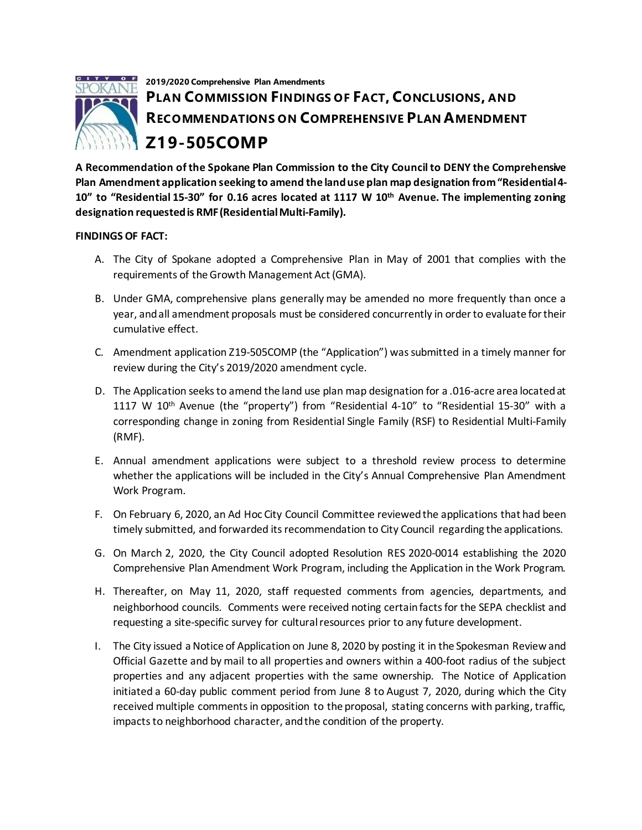

**A Recommendation of the Spokane Plan Commission to the City Council to DENY the Comprehensive Plan Amendment application seeking to amend the land use plan map designation from "Residential 4- 10" to "Residential 15-30" for 0.16 acres located at 1117 W 10th Avenue. The implementing zoning designation requested is RMF(Residential Multi-Family).**

## **FINDINGS OF FACT:**

- A. The City of Spokane adopted a Comprehensive Plan in May of 2001 that complies with the requirements of the Growth Management Act (GMA).
- B. Under GMA, comprehensive plans generally may be amended no more frequently than once a year, and all amendment proposals must be considered concurrently in order to evaluate for their cumulative effect.
- C. Amendment application Z19-505COMP (the "Application") was submitted in a timely manner for review during the City's 2019/2020 amendment cycle.
- D. The Application seeks to amend the land use plan map designation for a .016-acre area located at 1117 W 10th Avenue (the "property") from "Residential 4-10" to "Residential 15-30" with a corresponding change in zoning from Residential Single Family (RSF) to Residential Multi-Family (RMF).
- E. Annual amendment applications were subject to a threshold review process to determine whether the applications will be included in the City's Annual Comprehensive Plan Amendment Work Program.
- F. On February 6, 2020, an Ad Hoc City Council Committee reviewed the applications that had been timely submitted, and forwarded its recommendation to City Council regarding the applications.
- G. On March 2, 2020, the City Council adopted Resolution RES 2020-0014 establishing the 2020 Comprehensive Plan Amendment Work Program, including the Application in the Work Program.
- H. Thereafter, on May 11, 2020, staff requested comments from agencies, departments, and neighborhood councils. Comments were received noting certain facts for the SEPA checklist and requesting a site-specific survey for cultural resources prior to any future development.
- I. The City issued a Notice of Application on June 8, 2020 by posting it in the Spokesman Review and Official Gazette and by mail to all properties and owners within a 400-foot radius of the subject properties and any adjacent properties with the same ownership. The Notice of Application initiated a 60-day public comment period from June 8 to August 7, 2020, during which the City received multiple comments in opposition to the proposal, stating concerns with parking, traffic, impacts to neighborhood character, and the condition of the property.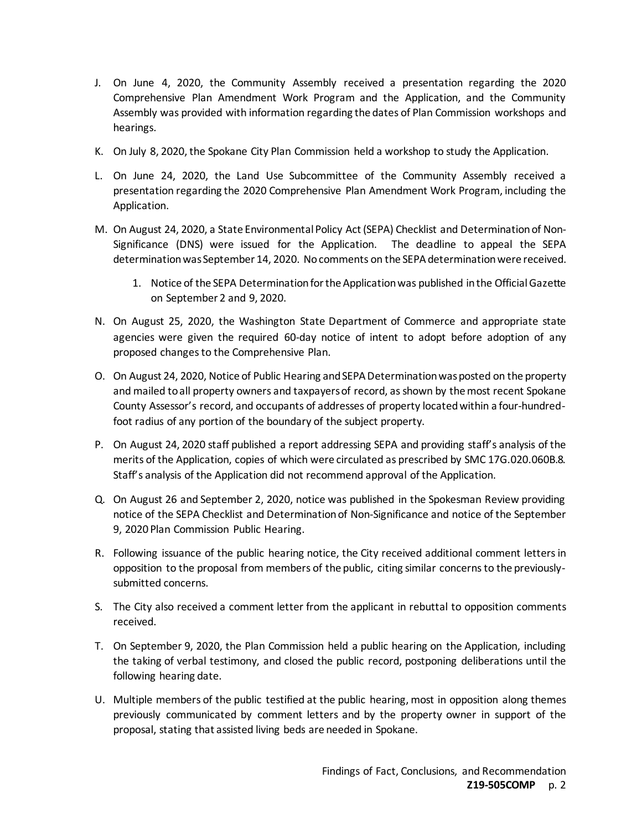- J. On June 4, 2020, the Community Assembly received a presentation regarding the 2020 Comprehensive Plan Amendment Work Program and the Application, and the Community Assembly was provided with information regarding the dates of Plan Commission workshops and hearings.
- K. On July 8, 2020, the Spokane City Plan Commission held a workshop to study the Application.
- L. On June 24, 2020, the Land Use Subcommittee of the Community Assembly received a presentation regarding the 2020 Comprehensive Plan Amendment Work Program, including the Application.
- M. On August 24, 2020, a State Environmental Policy Act (SEPA) Checklist and Determination of Non-Significance (DNS) were issued for the Application. The deadline to appeal the SEPA determination was September 14, 2020. No comments on the SEPA determination were received.
	- 1. Notice of the SEPA Determination for the Applicationwas published in the Official Gazette on September 2 and 9, 2020.
- N. On August 25, 2020, the Washington State Department of Commerce and appropriate state agencies were given the required 60-day notice of intent to adopt before adoption of any proposed changes to the Comprehensive Plan.
- O. On August 24, 2020, Notice of Public Hearing and SEPA Determination was posted on the property and mailed to all property owners and taxpayers of record, as shown by the most recent Spokane County Assessor's record, and occupants of addresses of property located within a four-hundredfoot radius of any portion of the boundary of the subject property.
- P. On August 24, 2020 staff published a report addressing SEPA and providing staff's analysis of the merits of the Application, copies of which were circulated as prescribed by SMC 17G.020.060B.8. Staff's analysis of the Application did not recommend approval of the Application.
- Q. On August 26 and September 2, 2020, notice was published in the Spokesman Review providing notice of the SEPA Checklist and Determination of Non-Significance and notice of the September 9, 2020 Plan Commission Public Hearing.
- R. Following issuance of the public hearing notice, the City received additional comment letters in opposition to the proposal from members of the public, citing similar concerns to the previouslysubmitted concerns.
- S. The City also received a comment letter from the applicant in rebuttal to opposition comments received.
- T. On September 9, 2020, the Plan Commission held a public hearing on the Application, including the taking of verbal testimony, and closed the public record, postponing deliberations until the following hearing date.
- U. Multiple members of the public testified at the public hearing, most in opposition along themes previously communicated by comment letters and by the property owner in support of the proposal, stating that assisted living beds are needed in Spokane.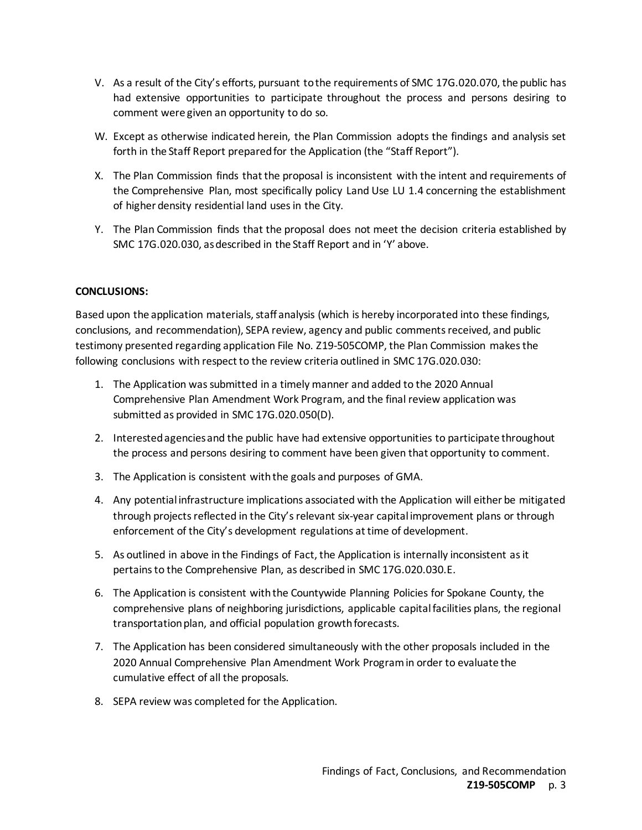- V. As a result of the City's efforts, pursuant to the requirements of SMC 17G.020.070, the public has had extensive opportunities to participate throughout the process and persons desiring to comment were given an opportunity to do so.
- W. Except as otherwise indicated herein, the Plan Commission adopts the findings and analysis set forth in the Staff Report prepared for the Application (the "Staff Report").
- X. The Plan Commission finds that the proposal is inconsistent with the intent and requirements of the Comprehensive Plan, most specifically policy Land Use LU 1.4 concerning the establishment of higher density residential land uses in the City.
- Y. The Plan Commission finds that the proposal does not meet the decision criteria established by SMC 17G.020.030, as described in the Staff Report and in 'Y' above.

## **CONCLUSIONS:**

Based upon the application materials, staff analysis (which is hereby incorporated into these findings, conclusions, and recommendation), SEPA review, agency and public comments received, and public testimony presented regarding application File No. Z19-505COMP, the Plan Commission makes the following conclusions with respect to the review criteria outlined in SMC 17G.020.030:

- 1. The Application was submitted in a timely manner and added to the 2020 Annual Comprehensive Plan Amendment Work Program, and the final review application was submitted as provided in SMC 17G.020.050(D).
- 2. Interested agencies and the public have had extensive opportunities to participate throughout the process and persons desiring to comment have been given that opportunity to comment.
- 3. The Application is consistent with the goals and purposes of GMA.
- 4. Any potential infrastructure implications associated with the Application will either be mitigated through projects reflected in the City's relevant six-year capital improvement plans or through enforcement of the City's development regulations at time of development.
- 5. As outlined in above in the Findings of Fact, the Application is internally inconsistent as it pertains to the Comprehensive Plan, as described in SMC 17G.020.030.E.
- 6. The Application is consistent with the Countywide Planning Policies for Spokane County, the comprehensive plans of neighboring jurisdictions, applicable capital facilities plans, the regional transportation plan, and official population growth forecasts.
- 7. The Application has been considered simultaneously with the other proposals included in the 2020 Annual Comprehensive Plan Amendment Work Program in order to evaluate the cumulative effect of all the proposals.
- 8. SEPA review was completed for the Application.